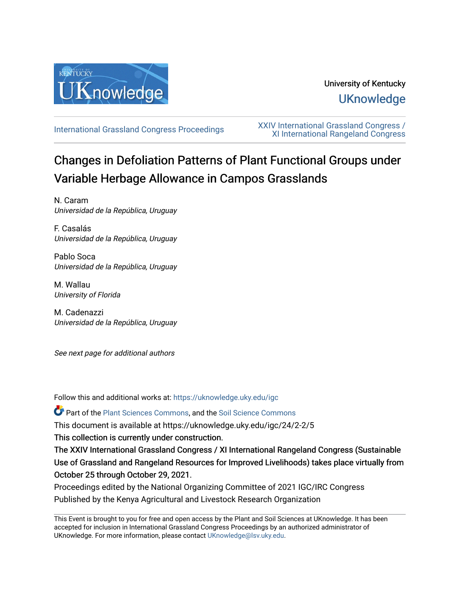

# University of Kentucky **UKnowledge**

[International Grassland Congress Proceedings](https://uknowledge.uky.edu/igc) [XXIV International Grassland Congress /](https://uknowledge.uky.edu/igc/24)  [XI International Rangeland Congress](https://uknowledge.uky.edu/igc/24) 

# Changes in Defoliation Patterns of Plant Functional Groups under Variable Herbage Allowance in Campos Grasslands

N. Caram Universidad de la República, Uruguay

F. Casalás Universidad de la República, Uruguay

Pablo Soca Universidad de la República, Uruguay

M. Wallau University of Florida

M. Cadenazzi Universidad de la República, Uruguay

See next page for additional authors

Follow this and additional works at: [https://uknowledge.uky.edu/igc](https://uknowledge.uky.edu/igc?utm_source=uknowledge.uky.edu%2Figc%2F24%2F2-2%2F5&utm_medium=PDF&utm_campaign=PDFCoverPages) 

Part of the [Plant Sciences Commons](http://network.bepress.com/hgg/discipline/102?utm_source=uknowledge.uky.edu%2Figc%2F24%2F2-2%2F5&utm_medium=PDF&utm_campaign=PDFCoverPages), and the [Soil Science Commons](http://network.bepress.com/hgg/discipline/163?utm_source=uknowledge.uky.edu%2Figc%2F24%2F2-2%2F5&utm_medium=PDF&utm_campaign=PDFCoverPages) 

This document is available at https://uknowledge.uky.edu/igc/24/2-2/5

This collection is currently under construction.

The XXIV International Grassland Congress / XI International Rangeland Congress (Sustainable Use of Grassland and Rangeland Resources for Improved Livelihoods) takes place virtually from October 25 through October 29, 2021.

Proceedings edited by the National Organizing Committee of 2021 IGC/IRC Congress Published by the Kenya Agricultural and Livestock Research Organization

This Event is brought to you for free and open access by the Plant and Soil Sciences at UKnowledge. It has been accepted for inclusion in International Grassland Congress Proceedings by an authorized administrator of UKnowledge. For more information, please contact [UKnowledge@lsv.uky.edu](mailto:UKnowledge@lsv.uky.edu).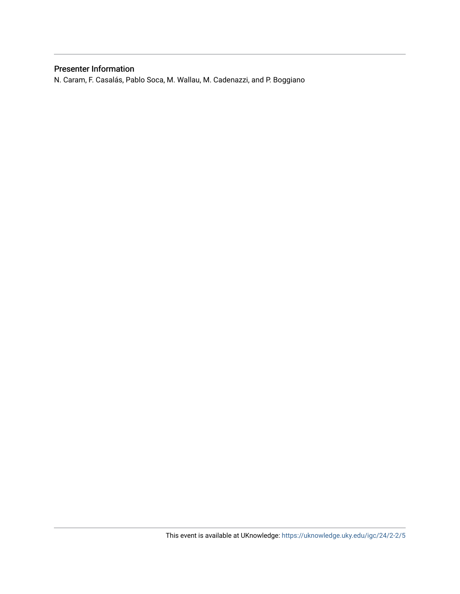## Presenter Information

N. Caram, F. Casalás, Pablo Soca, M. Wallau, M. Cadenazzi, and P. Boggiano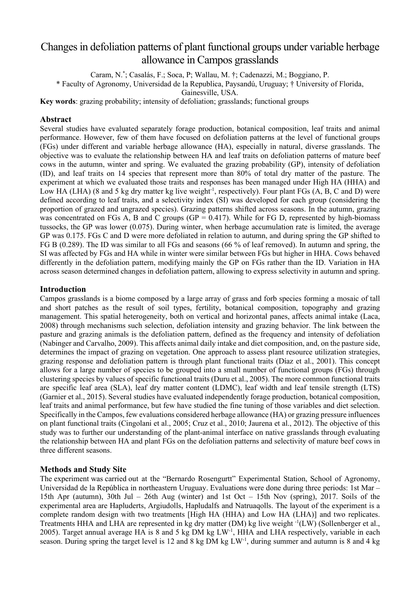# Changes in defoliation patterns of plant functional groups under variable herbage allowance in Campos grasslands

Caram, N.\* ; Casalás, F.; Soca, P; Wallau, M. †; Cadenazzi, M.; Boggiano, P.

\* Faculty of Agronomy, Universidad de la Republica, Paysandú, Uruguay; † University of Florida,

Gainesville, USA.

**Key words**: grazing probability; intensity of defoliation; grasslands; functional groups

## **Abstract**

Several studies have evaluated separately forage production, botanical composition, leaf traits and animal performance. However, few of them have focused on defoliation patterns at the level of functional groups (FGs) under different and variable herbage allowance (HA), especially in natural, diverse grasslands. The objective was to evaluate the relationship between HA and leaf traits on defoliation patterns of mature beef cows in the autumn, winter and spring. We evaluated the grazing probability (GP), intensity of defoliation (ID), and leaf traits on 14 species that represent more than 80% of total dry matter of the pasture. The experiment at which we evaluated those traits and responses has been managed under High HA (HHA) and Low HA (LHA) (8 and 5 kg dry matter kg live weight<sup>-1</sup>, respectively). Four plant FGs (A, B, C and D) were defined according to leaf traits, and a selectivity index (SI) was developed for each group (considering the proportion of grazed and ungrazed species). Grazing patterns shifted across seasons. In the autumn, grazing was concentrated on FGs A, B and C groups ( $GP = 0.417$ ). While for FG D, represented by high-biomass tussocks, the GP was lower (0.075). During winter, when herbage accumulation rate is limited, the average GP was 0.175. FGs C and D were more defoliated in relation to autumn, and during spring the GP shifted to FG B (0.289). The ID was similar to all FGs and seasons (66 % of leaf removed). In autumn and spring, the SI was affected by FGs and HA while in winter were similar between FGs but higher in HHA. Cows behaved differently in the defoliation pattern, modifying mainly the GP on FGs rather than the ID. Variation in HA across season determined changes in defoliation pattern, allowing to express selectivity in autumn and spring.

#### **Introduction**

Campos grasslands is a biome composed by a large array of grass and forb species forming a mosaic of tall and short patches as the result of soil types, fertility, botanical composition, topography and grazing management. This spatial heterogeneity, both on vertical and horizontal panes, affects animal intake (Laca, 2008) through mechanisms such selection, defoliation intensity and grazing behavior. The link between the pasture and grazing animals is the defoliation pattern, defined as the frequency and intensity of defoliation (Nabinger and Carvalho, 2009). This affects animal daily intake and diet composition, and, on the pasture side, determines the impact of grazing on vegetation. One approach to assess plant resource utilization strategies, grazing response and defoliation pattern is through plant functional traits (Díaz et al., 2001). This concept allows for a large number of species to be grouped into a small number of functional groups (FGs) through clustering species by values of specific functional traits (Duru et al., 2005). The more common functional traits are specific leaf area (SLA), leaf dry matter content (LDMC), leaf width and leaf tensile strength (LTS) (Garnier et al., 2015). Several studies have evaluated independently forage production, botanical composition, leaf traits and animal performance, but few have studied the fine tuning of those variables and diet selection. Specifically in the Campos, few evaluations considered herbage allowance (HA) or grazing pressure influences on plant functional traits (Cingolani et al., 2005; Cruz et al., 2010; Jaurena et al., 2012). The objective of this study was to further our understanding of the plant-animal interface on native grasslands through evaluating the relationship between HA and plant FGs on the defoliation patterns and selectivity of mature beef cows in three different seasons.

## **Methods and Study Site**

The experiment was carried out at the "Bernardo Rosengurtt" Experimental Station, School of Agronomy, Universidad de la República in northeastern Uruguay. Evaluations were done during three periods: 1st Mar – 15th Apr (autumn), 30th Jul – 26th Aug (winter) and 1st Oct – 15th Nov (spring), 2017. Soils of the experimental area are Hapluderts, Argiudolls, Hapludalfs and Natruaqolls. The layout of the experiment is a complete random design with two treatments [High HA (HHA) and Low HA (LHA)] and two replicates. Treatments HHA and LHA are represented in kg dry matter (DM) kg live weight  $\cdot^1$ (LW) (Sollenberger et al., 2005). Target annual average HA is 8 and 5 kg DM kg LW<sup>-1</sup>, HHA and LHA respectively, variable in each season. During spring the target level is 12 and 8 kg DM kg  $LW<sup>-1</sup>$ , during summer and autumn is 8 and 4 kg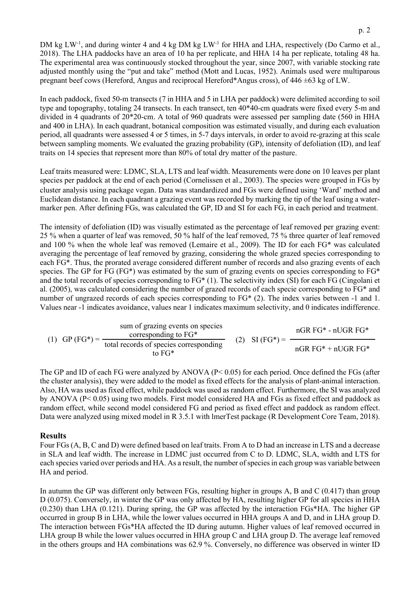DM kg LW<sup>-1</sup>, and during winter 4 and 4 kg DM kg LW<sup>-1</sup> for HHA and LHA, respectively (Do Carmo et al., 2018). The LHA paddocks have an area of 10 ha per replicate, and HHA 14 ha per replicate, totaling 48 ha. The experimental area was continuously stocked throughout the year, since 2007, with variable stocking rate adjusted monthly using the "put and take" method (Mott and Lucas, 1952). Animals used were multiparous pregnant beef cows (Hereford, Angus and reciprocal Hereford\*Angus cross), of 446 ±63 kg of LW.

In each paddock, fixed 50-m transects (7 in HHA and 5 in LHA per paddock) were delimited according to soil type and topography, totaling 24 transects. In each transect, ten 40\*40-cm quadrats were fixed every 5-m and divided in 4 quadrants of 20\*20-cm. A total of 960 quadrats were assessed per sampling date (560 in HHA and 400 in LHA). In each quadrant, botanical composition was estimated visually, and during each evaluation period, all quadrants were assessed 4 or 5 times, in 5-7 days intervals, in order to avoid re-grazing at this scale between sampling moments. We evaluated the grazing probability (GP), intensity of defoliation (ID), and leaf traits on 14 species that represent more than 80% of total dry matter of the pasture.

Leaf traits measured were: LDMC, SLA, LTS and leaf width. Measurements were done on 10 leaves per plant species per paddock at the end of each period (Cornelissen et al., 2003). The species were grouped in FGs by cluster analysis using package vegan. Data was standardized and FGs were defined using 'Ward' method and Euclidean distance. In each quadrant a grazing event was recorded by marking the tip of the leaf using a watermarker pen. After defining FGs, was calculated the GP, ID and SI for each FG, in each period and treatment.

The intensity of defoliation (ID) was visually estimated as the percentage of leaf removed per grazing event: 25 % when a quarter of leaf was removed, 50 % half of the leaf removed, 75 % three quarter of leaf removed and 100 % when the whole leaf was removed (Lemaire et al., 2009). The ID for each FG\* was calculated averaging the percentage of leaf removed by grazing, considering the whole grazed species corresponding to each FG\*. Thus, the prorated average considered different number of records and also grazing events of each species. The GP for FG (FG\*) was estimated by the sum of grazing events on species corresponding to FG\* and the total records of species corresponding to FG\* (1). The selectivity index (SI) for each FG (Cingolani et al. (2005), was calculated considering the number of grazed records of each specie corresponding to FG\* and number of ungrazed records of each species corresponding to FG\* (2). The index varies between -1 and 1. Values near -1 indicates avoidance, values near 1 indicates maximum selectivity, and 0 indicates indifference.

|  | (1) GP (FG*) = $\frac{C_1}{C_2}$ | sum of grazing events on species<br>corresponding to $FG*$ |  | $nGR$ FG* - $nUGR$ FG*<br>(2) SI $(FG^*) =$ |
|--|----------------------------------|------------------------------------------------------------|--|---------------------------------------------|
|  |                                  | total records of species corresponding<br>to $FG*$         |  | $nGR$ FG* + $nUGR$ FG*                      |

The GP and ID of each FG were analyzed by ANOVA (P< 0.05) for each period. Once defined the FGs (after the cluster analysis), they were added to the model as fixed effects for the analysis of plant-animal interaction. Also, HA was used as fixed effect, while paddock was used as random effect. Furthermore, the SI was analyzed by ANOVA (P< 0.05) using two models. First model considered HA and FGs as fixed effect and paddock as random effect, while second model considered FG and period as fixed effect and paddock as random effect. Data were analyzed using mixed model in R 3.5.1 with lmerTest package (R Development Core Team, 2018).

#### **Results**

Four FGs (A, B, C and D) were defined based on leaf traits. From A to D had an increase in LTS and a decrease in SLA and leaf width. The increase in LDMC just occurred from C to D. LDMC, SLA, width and LTS for each species varied over periods and HA. As a result, the number of species in each group was variable between HA and period.

In autumn the GP was different only between FGs, resulting higher in groups A, B and C (0.417) than group D (0.075). Conversely, in winter the GP was only affected by HA, resulting higher GP for all species in HHA (0.230) than LHA (0.121). During spring, the GP was affected by the interaction FGs\*HA. The higher GP occurred in group B in LHA, while the lower values occurred in HHA groups A and D, and in LHA group D. The interaction between FGs\*HA affected the ID during autumn. Higher values of leaf removed occurred in LHA group B while the lower values occurred in HHA group C and LHA group D. The average leaf removed in the others groups and HA combinations was 62.9 %. Conversely, no difference was observed in winter ID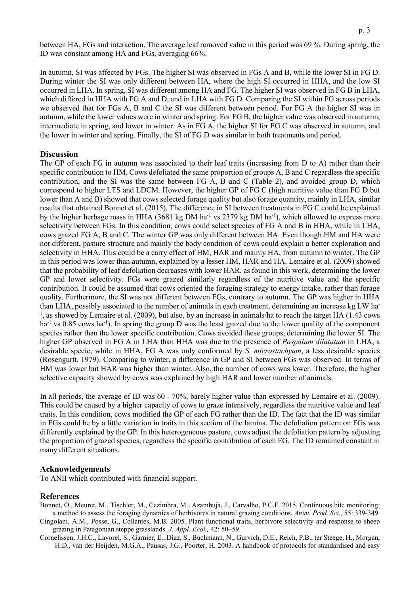between HA, FGs and interaction. The average leaf removed value in this period was 69 %. During spring, the ID was constant among HA and FGs, averaging 66%.

In autumn, SI was affected by FGs. The higher SI was observed in FGs A and B, while the lower SI in FG D. During winter the SI was only different between HA, where the high SI occurred in HHA, and the low SI occurred in LHA. In spring, SI was different among HA and FG. The higher SI was observed in FG B in LHA, which differed in HHA with FG A and D, and in LHA with FG D. Comparing the SI within FG across periods we observed that for FGs A, B and C the SI was different between period. For FG A the higher SI was in autumn, while the lower values were in winter and spring. For FG B, the higher value was observed in autumn, intermediate in spring, and lower in winter. As in FG A, the higher SI for FG C was observed in autumn, and the lower in winter and spring. Finally, the SI of FG D was similar in both treatments and period.

#### **Discussion**

The GP of each FG in autumn was associated to their leaf traits (increasing from D to A) rather than their specific contribution to HM. Cows defoliated the same proportion of groups A, B and C regardless the specific contribution, and the SI was the same between FG A, B and C (Table 2), and avoided group D, which correspond to higher LTS and LDCM. However, the higher GP of FG C (high nutritive value than FG D but lower than A and B) showed that cows selected forage quality but also forage quantity, mainly in LHA, similar results that obtained Bonnet et al. (2015). The difference in SI between treatments in FG C could be explained by the higher herbage mass in HHA (3681 kg DM ha<sup>-1</sup> vs 2379 kg DM ha<sup>-1</sup>), which allowed to express more selectivity between FGs. In this condition, cows could select species of FG A and B in HHA, while in LHA, cows grazed FG A, B and C. The winter GP was only different between HA. Even though HM and HA were not different, pasture structure and mainly the body condition of cows could explain a better exploration and selectivity in HHA. This could be a carry effect of HM, HAR and mainly HA, from autumn to winter. The GP in this period was lower than autumn, explained by a lesser HM, HAR and HA. Lemaire et al. (2009) showed that the probability of leaf defoliation decreases with lower HAR, as found in this work, determining the lower GP and lower selectivity. FGs were grazed similarly regardless of the nutritive value and the specific contribution. It could be assumed that cows oriented the foraging strategy to energy intake, rather than forage quality. Furthermore, the SI was not different between FGs, contrary to autumn. The GP was higher in HHA than LHA, possibly associated to the number of animals in each treatment, determining an increase kg LW ha-<sup>1</sup>, as showed by Lemaire et al. (2009), but also, by an increase in animals/ha to reach the target HA (1.43 cows ha<sup>-1</sup> vs 0.85 cows ha<sup>-1</sup>). In spring the group D was the least grazed due to the lower quality of the component species rather than the lower specific contribution. Cows avoided these groups, determining the lower SI. The higher GP observed in FG A in LHA than HHA was due to the presence of *Paspalum dilatatum* in LHA, a desirable specie, while in HHA, FG A was only conformed by *S. microstachyum*, a less desirable species (Rosengurtt, 1979). Comparing to winter, a difference in GP and SI between FGs was observed. In terms of HM was lower but HAR was higher than winter. Also, the number of cows was lower. Therefore, the higher selective capacity showed by cows was explained by high HAR and lower number of animals.

In all periods, the average of ID was 60 - 70%, barely higher value than expressed by Lemaire et al. (2009). This could be caused by a higher capacity of cows to graze intensively, regardless the nutritive value and leaf traits. In this condition, cows modified the GP of each FG rather than the ID. The fact that the ID was similar in FGs could be by a little variation in traits in this section of the lamina. The defoliation pattern on FGs was differently explained by the GP. In this heterogeneous pasture, cows adjust the defoliation pattern by adjusting the proportion of grazed species, regardless the specific contribution of each FG. The ID remained constant in many different situations.

#### **Acknowledgements**

To ANII which contributed with financial support.

#### **References**

Bonnet, O., Meuret, M., Tischler, M., Cezimbra, M., Azambuja, J., Carvalho, P.C.F. 2015. Continuous bite monitoring: a method to assess the foraging dynamics of herbivores in natural grazing conditions. *Anim. Prod. Sci.,* 55: 339-349.

- Cingolani, A.M., Posse, G., Collantes, M.B. 2005. Plant functional traits, herbivore selectivity and response to sheep grazing in Patagonian steppe grasslands. *J. Appl. Ecol.,* 42: 50–59.
- Cornelissen, J.H.C., Lavorel, S., Garnier, E., Díaz, S., Buchmann, N., Gurvich, D.E., Reich, P.B., ter Steege, H., Morgan, H.D., van der Heijden, M.G.A., Pausas, J.G., Poorter, H. 2003. A handbook of protocols for standardised and easy